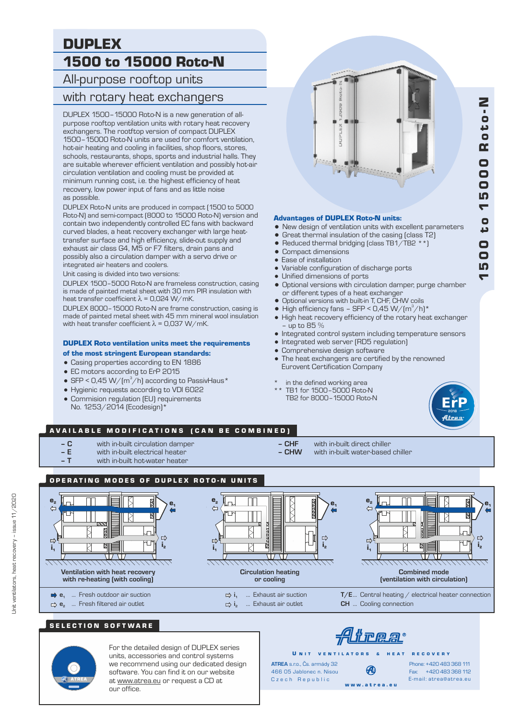# DUPLEX 1500 to 15000 Roto-N

All-purpose rooftop units

## with rotary heat exchangers

DUPLEX 1500–15000 Roto-N is a new generation of allpurpose rooftop ventilation units with rotary heat recovery exchangers. The rootftop version of compact DUPLEX 1500–15000 Roto-N units are used for comfort ventilation, hot-air heating and cooling in facilities, shop floors, stores, schools, restaurants, shops, sports and industrial halls. They are suitable wherever efficient ventilation and possibly hot-air circulation ventilation and cooling must be provided at minimum running cost, i.e. the highest efficiency of heat recovery, low power input of fans and as little noise as possible.

DUPLEX Roto-N units are produced in compact (1500 to 5000 Roto-N) and semi-compact (8000 to 15000 Roto-N) version and contain two independently controlled EC fans with backward curved blades, a heat recovery exchanger with large heattransfer surface and high efficiency, slide-out supply and exhaust air class G4, M5 or F7 filters, drain pans and possibly also a circulation damper with a servo drive or integrated air heaters and coolers.

Unit casing is divided into two versions:

DUPLEX 1500–5000 Roto-N are frameless construction, casing is made of painted metal sheet with 30 mm PIR insulation with heat transfer coefficient  $\lambda$  = 0,024 W/mK.

DUPLEX 8000–15000 Roto-N are frame construction, casing is made of painted metal sheet with 45 mm mineral wool insulation with heat transfer coefficient  $\lambda$  = 0,037 W/mK.

#### DUPLEX Roto ventilation units meet the requirements

#### of the most stringent European standards:

- Casing properties according to EN 1886
- EC motors according to ErP 2015
- SFP < 0,45 W/( $m^3/h$ ) according to PassivHaus\*
- = Hygienic requests according to VDI 6022
- Commision regulation (EU) requirements
- No. 1253/2014 (Ecodesign)\*

# **SEPPLE**

#### Advantages of DUPLEX Roto-N units:

- New design of ventilation units with excellent parameters
- Great thermal insulation of the casing (class T2)
- Reduced thermal bridging (class TB1/TB2  $**$ )
- Compact dimensions
- Ease of installation
- Variable configuration of discharge ports
- Unified dimensions of ports
- = Optional versions with circulation damper, purge chamber or different types of a heat exchanger
- Optional versions with built-in T, CHF, CHW coils
- High efficiency fans SFP <  $0.45 W/(m^3/h)^*$
- High heat recovery efficiency of the rotary heat exchanger – up to 85 %
- = Integrated control system including temperature sensors
- Integrated web server (RD5 regulation)
- Comprehensive design software
- The heat exchangers are certified by the renowned Eurovent Certification Company
- in the defined working area
- \*\* TB1 for 1500–5000 Roto-N TB2 for 8000–15000 Roto-N



#### AVAILABLE MODIFICATIONS (CAN BE COMBINED)

- **C** with in-built circulation damper  **CHF** with in-built direct chiller
- **E** with in-built electrical heater<br>  **T** with in-huilt hot-water heater
	- with in-built hot-water heater
- 
- with in-built water-based chiller
- OPERATING MODES OF DUPLEX ROTO-N UNITS









... Exhaust air outlet **CH** ... Cooling connection



For the detailed design of DUPLEX series units, accessories and control systems we recommend using our dedicated design software. You can find it on our website at www.atrea.eu or request a CD at our office.

Trea

Ð

U N IT VENTILATORS & HEAT RECOVERY

Czech Republic w w w . a t r e a . e u **ATREA** s.r.o., Čs. armády 32 466 05 Jablonec n. Nisou

Fax: +420 483 368 112 Phone: +420 483 368 111 E-mail: atrea@atrea.eu



 $\blacktriangledown$ 10

0 0

د o  $\overline{a}$ **SD**  $\bar{\mathbf{o}}$ 0 0

Roد

Z<br>o

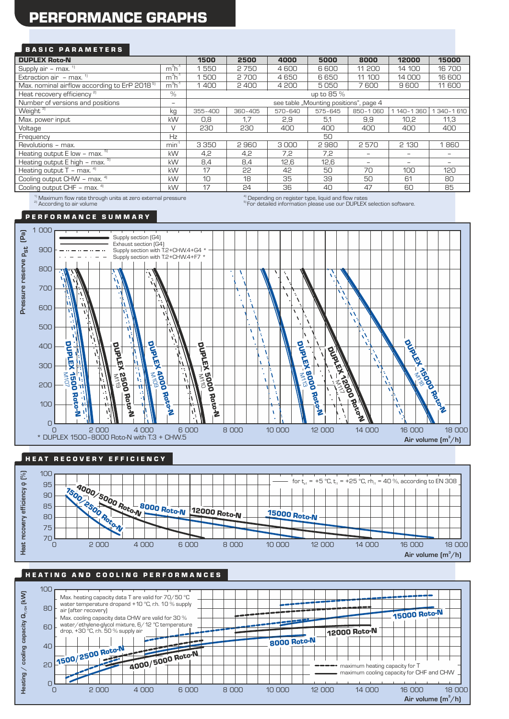# PERFORMANCE GRAPHS

#### **BASIC PARAMETERS**

| <b>DUPLEX Roto-N</b>                                                                                                                                                                                                                                                                             | 1500                     | 2500                                   | 4000    | 5000    | 8000    | 12000    | 15000       |                   |
|--------------------------------------------------------------------------------------------------------------------------------------------------------------------------------------------------------------------------------------------------------------------------------------------------|--------------------------|----------------------------------------|---------|---------|---------|----------|-------------|-------------------|
| Supply air $-$ max. $1$                                                                                                                                                                                                                                                                          | $m^3h^1$                 | 550                                    | 2750    | 4600    | 6 600   | 11 200   | 14 100      | 16700             |
| Extraction air $-$ max. $1$                                                                                                                                                                                                                                                                      | $m3h-1$                  | 500                                    | 2700    | 4650    | 6650    | 11 100   | 14 000      | 16 600            |
| Max. nominal airflow according to ErP 2018 <sup>5)</sup>                                                                                                                                                                                                                                         | $m^3h^1$                 | 1400                                   | 2400    | 4 200   | 5050    | 7600     | 9600        | 11 600            |
| Heat recovery efficiency <sup>2)</sup>                                                                                                                                                                                                                                                           | $\frac{0}{n}$            | up to 85 %                             |         |         |         |          |             |                   |
| Number of versions and positions                                                                                                                                                                                                                                                                 | $\overline{\phantom{0}}$ | see table "Mounting positions", page 4 |         |         |         |          |             |                   |
| Weight <sup>3)</sup>                                                                                                                                                                                                                                                                             | kg                       | 355-400                                | 360-405 | 570-640 | 575-645 | 850-1060 | 1 140-1 360 | 340-1610          |
| Max. power input                                                                                                                                                                                                                                                                                 | kW                       | 0,8                                    | 1.7     | 2.9     | 5.1     | 9.9      | 10.2        | 11.3              |
| Voltage                                                                                                                                                                                                                                                                                          | $\vee$                   | 230                                    | 230     | 400     | 400     | 400      | 400         | 400               |
| Frequency                                                                                                                                                                                                                                                                                        | Hz                       | 50                                     |         |         |         |          |             |                   |
| Revolutions - max.                                                                                                                                                                                                                                                                               | min <sup>1</sup>         | 3 3 5 0                                | 2960    | 3000    | 2980    | 2570     | 2 1 3 0     | 1860              |
| Heating output $E$ low - max. $5$                                                                                                                                                                                                                                                                | kW                       | 4,2                                    | 4,2     | 7,2     | 7,2     |          |             |                   |
| Heating output $E$ high - max. $5$                                                                                                                                                                                                                                                               | kW                       | 8,4                                    | 8,4     | 12,6    | 12,6    |          |             | $\qquad \qquad -$ |
| Heating output $T - \text{max.}^{4}$                                                                                                                                                                                                                                                             | kW                       | 17                                     | 55      | 42      | 50      | 70       | 100         | 120               |
| Cooling output CHW - max. 41                                                                                                                                                                                                                                                                     | kW                       | 10                                     | 18      | 35      | 39      | 50       | 61          | 80                |
| Cooling output CHF - max. 41                                                                                                                                                                                                                                                                     | kW                       | 17                                     | 24      | 36      | 40      | 47       | 60          | 85                |
| $\mathbf{a}$ and $\mathbf{a}$ and $\mathbf{a}$ and $\mathbf{a}$ and $\mathbf{a}$ and $\mathbf{a}$ and $\mathbf{a}$ and $\mathbf{a}$ and $\mathbf{a}$ and $\mathbf{a}$ and $\mathbf{a}$ and $\mathbf{a}$ and $\mathbf{a}$ and $\mathbf{a}$ and $\mathbf{a}$ and $\mathbf{a}$ and $\mathbf{a}$ and |                          |                                        |         |         |         |          |             |                   |

<sup>1)</sup> Maximum flow rate through units at zero external pressure **1986 on the community of the conding** on register type, liquid and flow rates<br><sup>a)</sup> According to air volume the volume of tware. <sup>1)</sup> Maximum flow rate through units at zero external pressure<br><sup>2)</sup> According to air volume

#### P E R F O R M A N C E S U M M A R Y



#### HE AT RECOVERY EFFICIENCY



#### HEATING AND COOLING PERFORMANCES

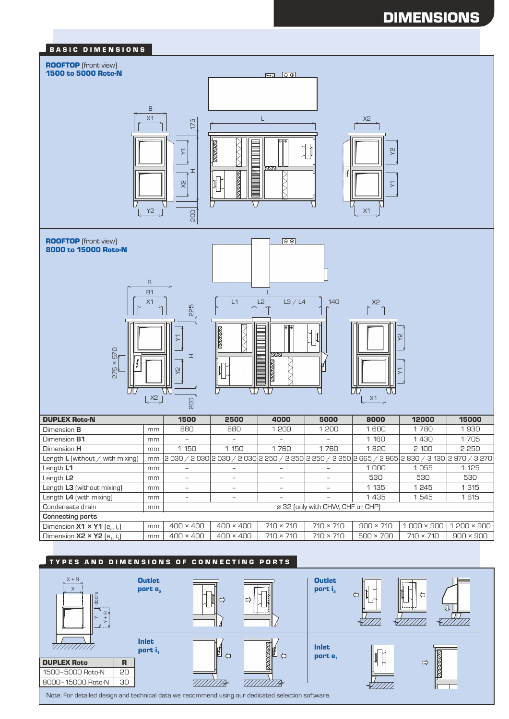





Note: For detailed design and technical data we recommend using our dedicated selection software.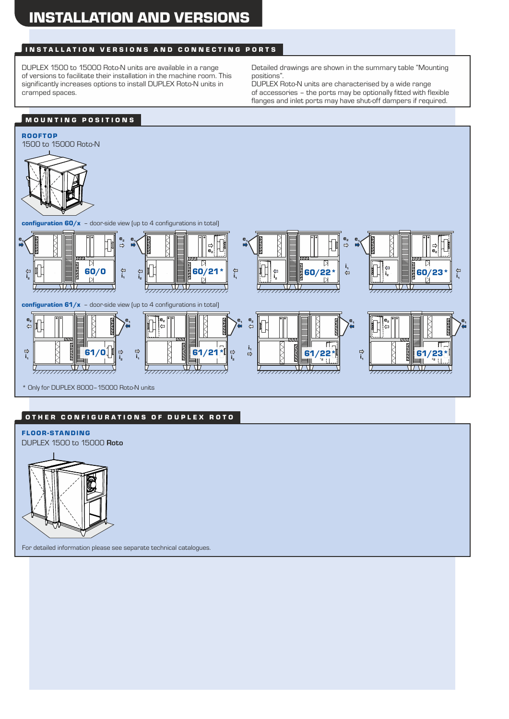## INSTALLATION VERSIONS AND CONNECTING PORTS

DUPLEX 1500 to 15000 Roto-N units are available in a range of versions to facilitate their installation in the machine room. This significantly increases options to install DUPLEX Roto-N units in cramped spaces.

Detailed drawings are shown in the summary table "Mounting positions".

DUPLEX Roto-N units are characterised by a wide range of accessories – the ports may be optionally fitted with flexible flanges and inlet ports may have shut-off dampers if required.

## MOUNTING POSITIONS



#### OTHER CONFIGURATIONS OF DUPLEX ROTO

FLOOR-STANDING DUPLEX 1500 to 15000 **Roto**



For detailed information please see separate technical catalogues.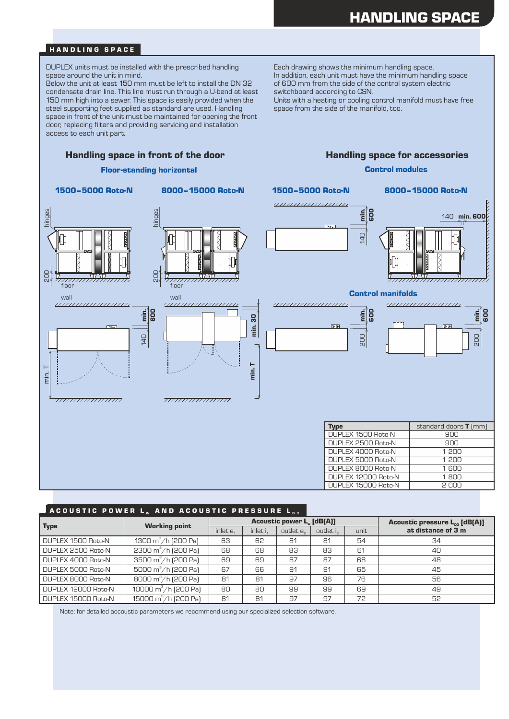#### HANDLING SPACE

DUPLEX units must be installed with the prescribed handling space around the unit in mind.

Below the unit at least 150 mm must be left to install the DN 32 condensate drain line. This line must run through a U-bend at least 150 mm high into a sewer. This space is easily provided when the steel supporting feet supplied as standard are used. Handling space in front of the unit must be maintained for opening the front door, replacing filters and providing servicing and installation access to each unit part.

Each drawing shows the minimum handling space. In addition, each unit must have the minimum handling space of 600 mm from the side of the control system electric switchboard according to CSN.

Units with a heating or cooling control manifold must have free space from the side of the manifold, too.

Control modules

#### Handling space in front of the door **Handling space for accessories**

#### Floor-standing horizontal

#### 1500–5000 Roto-N 8000–15000 Roto-N



<del>777777777777777777777</del>











| me                  | standard doors <b>T</b> (mm) |
|---------------------|------------------------------|
| DUPLEX 1500 Roto-N  | ann                          |
| DUPLEX 2500 Roto-N  | 900                          |
| DUPLEX 4000 Roto-N  | 1 200                        |
| DUPLEX 5000 Roto-N  | 1 200                        |
| DUPLEX 8000 Roto-N  | $1$ 600                      |
| DUPLEX 12000 Roto-N | 1 $R0$                       |
| DUPLEX 15000 Roto-N | s uuu                        |

#### ACOUSTIC POWER L<sub>w</sub> and acoustic Pressure L

| <b>Type</b>         | <b>Working point</b>             | <b>Acoustic power L. [dB(A)]</b> |          |                       |                       |      | Acoustic pressure $L_{n3}$ [dB(A)] |  |
|---------------------|----------------------------------|----------------------------------|----------|-----------------------|-----------------------|------|------------------------------------|--|
|                     |                                  | inlet e.                         | inlet i, | outlet e <sub>2</sub> | outlet i <sub>2</sub> | unit | at distance of 3 m                 |  |
| DUPLEX 1500 Roto-N  | 1300 m <sup>3</sup> /h (200 Pa)  | 63                               | 62       | 81                    | 81                    | 54   | 34                                 |  |
| DUPLEX 2500 Roto-N  | 2300 $m^3/h$ (200 Pa)            | 68                               | 68       | 83                    | 83                    | 61   | 40                                 |  |
| DUPLEX 4000 Roto-N  | 3500 $m^3/h$ [200 Pa]            | 69                               | 69       | 87                    | 87                    | 68   | 48                                 |  |
| DUPLEX 5000 Roto-N  | 5000 $m^3/h$ (200 Pa)            | 67                               | 66       | 91                    | 91                    | 65   | 45                                 |  |
| DUPLEX 8000 Roto-N  | 8000 m <sup>3</sup> /h (200 Pa)  | 81                               | 81       | 97                    | 96                    | 76   | 56                                 |  |
| DUPLEX 12000 Roto-N | 10000 m <sup>3</sup> /h (200 Pa) | 80                               | 80       | 99                    | 99                    | 69   | 49                                 |  |
| DUPLEX 15000 Roto-N | 15000 m <sup>3</sup> /h (200 Pa) | 81                               | 81       | 97                    | 97                    | 72   | 52                                 |  |

Note: for detailed accoustic parameters we recommend using our specialized selection software.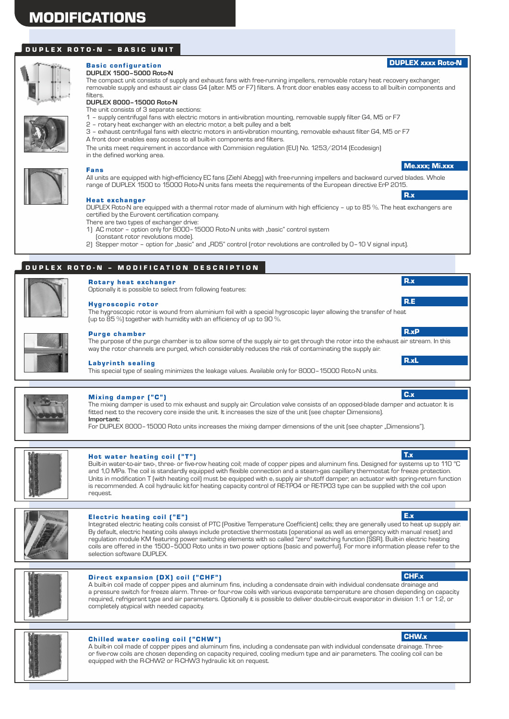#### D U P L E X R O T O - N - BAS I C U N I T



#### **Basic configuration DUPLEX 1500–5000 Roto-N**

The compact unit consists of supply and exhaust fans with free-running impellers, removable rotary heat recovery exchanger, removable supply and exhaust air class G4 (alter. M5 or F7) filters. A front door enables easy access to all built-in components and

#### **DUPLEX 8000–15000 Roto-N** filters.

The unit consists of 3 separate sections:

- 1 supply centrifugal fans with electric motors in anti-vibration mounting, removable supply filter G4, M5 or F7
- 2 rotary heat exchanger with an electric motor, a belt pulley and a belt
- A front door enables easy access to all built-in components and filters. 3 – exhaust centrifugal fans with electric motors in anti-vibration mounting, removable exhaust filter G4, M5 or F7

The units meet requirement in accordance with Commision regulation (EU) No. 1253/2014 (Ecodesign) in the defined working area.



#### Fans

All units are equipped with high-efficiency EC fans (Ziehl Abegg) with free-running impellers and backward curved blades. Whole range of DUPLEX 1500 to 15000 Roto-N units fans meets the requirements of the European directive ErP 2015.

#### Heat exchanger

There are two types of exchanger drive: DUPLEX Roto-N are equipped with a thermal rotor made of aluminum with high efficiency – up to 85 %. The heat exchangers are certified by the Eurovent certification company.

- 
- 1) AC motor option only for 8000-15000 Roto-N units with "basic" control system (constant rotor revolutions mode).
- 2) Stepper motor option for "basic" and "RD5" control (rotor revolutions are controlled by 0-10 V signal input).

## DUPLEX ROTO-N - MODIFICATION DESCRIPTION

Optionally it is possible to select from following features:



#### Hygroscopic rotor

**Rotary heat exchanger** 

The hygroscopic rotor is wound from aluminium foil with a special hygroscopic layer allowing the transfer of heat (up to 85 %) together with humidity with an efficiency of up to 90 %.

#### Purge chamber

The purpose of the purge chamber is to allow some of the supply air to get through the rotor into the exhaust air stream. In this way the rotor channels are purged, which considerably reduces the risk of contaminating the supply air.

#### **Labyrinth sealing**

This special type of sealing minimizes the leakage values. Available only for 8000–15000 Roto-N units.



#### Mixing damper ("C")

**Important:** The mixing damper is used to mix exhaust and supply air. Circulation valve consists of an opposed-blade damper and actuator. It is fitted next to the recovery core inside the unit. It increases the size of the unit (see chapter Dimensions).

For DUPLEX 8000–15000 Roto units increases the mixing damper dimensions of the unit (see chapter "Dimensions").



#### Hot water heating coil ("T")

Built-in water-to-air two-, three- or five-row heating coil; made of copper pipes and aluminum fins. Designed for systems up to 110 °C and 1,0 MPa. The coil is standardly equipped with flexible connection and a steam-gas capillary thermostat for freeze protection. Units in modification T (with heating coil) must be equipped with  $e_1$ supply air shutoff damper; an actuator with spring-return function is recommended. A coil hydraulic kitfor heating capacity control of RE-TPO4 or RE-TPO3 type can be supplied with the coil upon request.



#### Electric heating coil  $("E")$

Integrated electric heating coils consist of PTC (Positive Temperature Coefficient) cells; they are generally used to heat up supply air. By default, electric heating coils always include protective thermostats (operational as well as emergency with manual reset) and regulation module KM featuring power switching elements with so called "zero" switching function (SSR). Built-in electric heating coils are offered in the 1500–5000 Roto units in two power options (basic and powerful). For more information please refer to the selection software DUPLEX.



#### Direct expansion (DX) coil ("CHF")

A built-in coil made of copper pipes and aluminum fins, including a condensate drain with individual condensate drainage and a pressure switch for freeze alarm. Three- or four-row coils with various evaporate temperature are chosen depending on capacity required, refrigerant type and air parameters. Optionally it is possible to deliver double-circuit evaporator in division 1:1 or 1:2, or completely atypical with needed capacity.



#### Chilled water cooling coil ("CHW")

A built-in coil made of copper pipes and aluminum fins, including a condensate pan with individual condensate drainage. Threeor five-row coils are chosen depending on capacity required, cooling medium type and air parameters. The cooling coil can be equipped with the R-CHW2 or R-CHW3 hydraulic kit on request.

E.x

T.x

CHF.x

CHW.x

# R.xP

Me.xxx; Mi.xxx

DUPLEX xxxx Roto-N

R.x

R.x

R.E

R.xL

C.x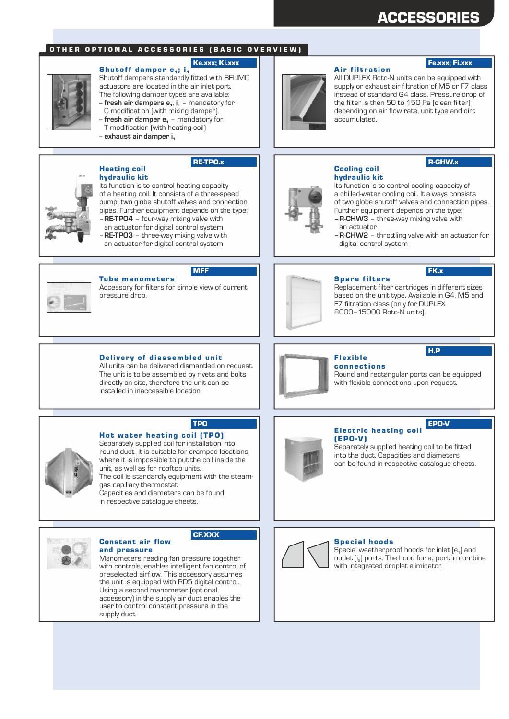## ACCESSORIES

Fe.xxx; Fi.xxx

R-CHW.x

#### OTHER OPTIONAL ACCESSORIES (BASIC OVERVIEW)

#### Shutoff damper  $e_1$ ; i<sub>1</sub> Ke.xxx; Ki.xxx

Shutoff dampers standardly fitted with BELIMO actuators are located in the air inlet port. The following damper types are available:

- -- **fresh air dampers e** , **i** mandatory for **<sup>1</sup> <sup>1</sup>**
- C modification (with mixing damper)
- -- **fresh air damper e** mandatory for **<sup>1</sup>** T modification (with heating coil)
- -- **exhaust air damper i<sup>1</sup>**



Heating coil

hydraulic kit

#### RE-TPO.x



Its function is to control heating capacity of a heating coil. It consists of a three-speed pump, two globe shutoff valves and connection pipes. Further equipment depends on the type: – **RE-TPO4** – four-way mixing valve with

an actuator for digital control system – **RE-TPO3** – three-way mixing valve with an actuator for digital control system



#### Cooling coil hydraulic kit

accumulated.

**Air filtration** 

**– R-CHW3** – three-way mixing valve with Its function is to control cooling capacity of a chilled-water cooling coil. It always consists of two globe shutoff valves and connection pipes. Further equipment depends on the type:

All DUPLEX Roto-N units can be equipped with supply or exhaust air filtration of M5 or F7 class instead of standard G4 class. Pressure drop of the filter is then 50 to 150 Pa (clean filter) depending on air flow rate, unit type and dirt

- an actuator
- **R**-**CHW2** throttling valve with an actuator for digital control system



**Tube manometers** 

Delivery of diassembled unit All units can be delivered dismantled on request. The unit is to be assembled by rivets and bolts directly on site, therefore the unit can be installed in inaccessible location.

Hot water heating coil (TPO)

Separately supplied coil for installation into round duct. It is suitable for cramped locations, where it is impossible to put the coil inside the

Accessory for filters for simple view of current pressure drop.

MFF



#### **Spare filters**

Replacement filter cartridges in different sizes based on the unit type. Available in G4, M5 and F7 filtration class (only for DUPLEX 8000–15000 Roto-N units).

#### Flex ible **connections**

Round and rectangular ports can be equipped with flexible connections upon request.



#### Electric heating coil EPO-V

Separately supplied heating coil to be fitted into the duct. Capacities and diameters can be found in respective catalogue sheets. (EPO-V)

## unit, as well as for rooftop units.

The coil is standardly equipment with the steamgas capillary thermostat. Capacities and diameters can be found

in respective catalogue sheets.

Constant air flow



#### CF.XXX

TPO

and pressure Manometers reading fan pressure together with controls, enables intelligent fan control of preselected airflow. This accessory assumes the unit is equipped with RD5 digital control. Using a second manometer (optional accessory) in the supply air duct enables the user to control constant pressure in the supply duct.



Special weatherproof hoods for inlet  $[e_1]$  and outlet  $[i_2]$  ports. The hood for  $e_1$  port in combine with integrated droplet eliminator.

## H.P

FK.x